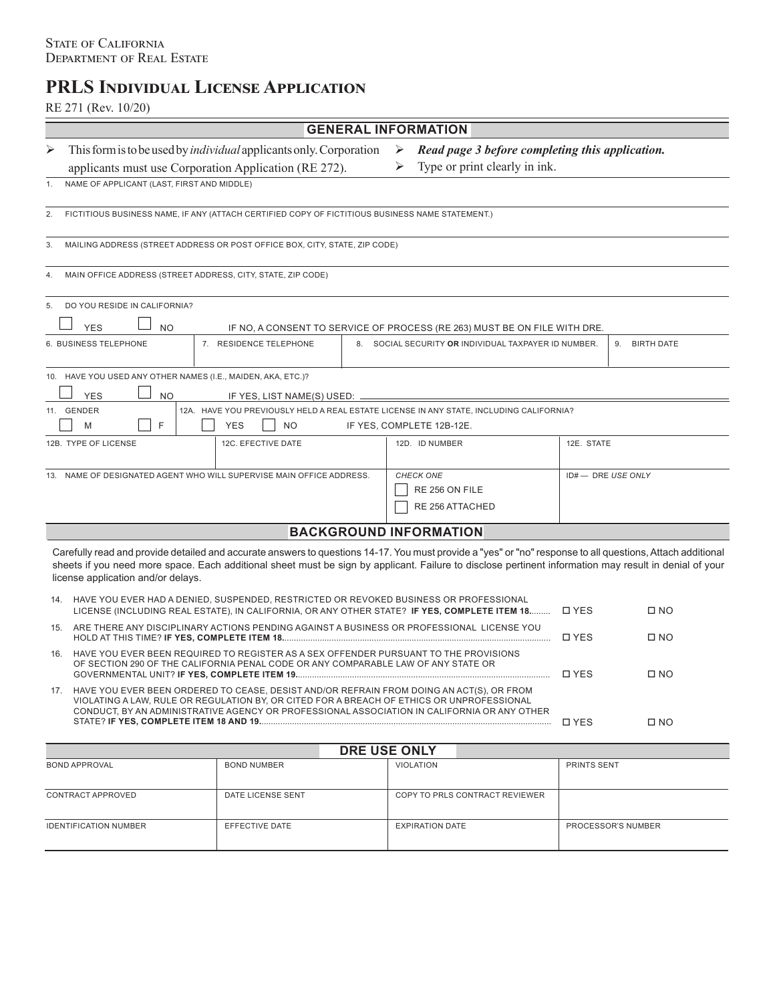# **PRLS Individual License Application**

## RE 271 (Rev. 10/20)

| <b>GENERAL INFORMATION</b>                                                                                                                                                                                                                                                                                                                                 |                                                                                                                                                                           |                                                                                                                                                                                                                                                                                      |   |                                                      |                                                 |               |  |  |
|------------------------------------------------------------------------------------------------------------------------------------------------------------------------------------------------------------------------------------------------------------------------------------------------------------------------------------------------------------|---------------------------------------------------------------------------------------------------------------------------------------------------------------------------|--------------------------------------------------------------------------------------------------------------------------------------------------------------------------------------------------------------------------------------------------------------------------------------|---|------------------------------------------------------|-------------------------------------------------|---------------|--|--|
| ➤                                                                                                                                                                                                                                                                                                                                                          |                                                                                                                                                                           | This form is to be used by <i>individual</i> applicants only. Corporation                                                                                                                                                                                                            | ➤ |                                                      | Read page 3 before completing this application. |               |  |  |
|                                                                                                                                                                                                                                                                                                                                                            | Type or print clearly in ink.<br>applicants must use Corporation Application (RE 272).                                                                                    |                                                                                                                                                                                                                                                                                      |   |                                                      |                                                 |               |  |  |
| 1.                                                                                                                                                                                                                                                                                                                                                         | NAME OF APPLICANT (LAST, FIRST AND MIDDLE)                                                                                                                                |                                                                                                                                                                                                                                                                                      |   |                                                      |                                                 |               |  |  |
| 2.                                                                                                                                                                                                                                                                                                                                                         | FICTITIOUS BUSINESS NAME, IF ANY (ATTACH CERTIFIED COPY OF FICTITIOUS BUSINESS NAME STATEMENT.)                                                                           |                                                                                                                                                                                                                                                                                      |   |                                                      |                                                 |               |  |  |
| MAILING ADDRESS (STREET ADDRESS OR POST OFFICE BOX, CITY, STATE, ZIP CODE)<br>3.                                                                                                                                                                                                                                                                           |                                                                                                                                                                           |                                                                                                                                                                                                                                                                                      |   |                                                      |                                                 |               |  |  |
| MAIN OFFICE ADDRESS (STREET ADDRESS, CITY, STATE, ZIP CODE)<br>4.                                                                                                                                                                                                                                                                                          |                                                                                                                                                                           |                                                                                                                                                                                                                                                                                      |   |                                                      |                                                 |               |  |  |
| 5.                                                                                                                                                                                                                                                                                                                                                         | DO YOU RESIDE IN CALIFORNIA?                                                                                                                                              |                                                                                                                                                                                                                                                                                      |   |                                                      |                                                 |               |  |  |
|                                                                                                                                                                                                                                                                                                                                                            | <b>YES</b><br><b>NO</b>                                                                                                                                                   | IF NO, A CONSENT TO SERVICE OF PROCESS (RE 263) MUST BE ON FILE WITH DRE.                                                                                                                                                                                                            |   |                                                      |                                                 |               |  |  |
|                                                                                                                                                                                                                                                                                                                                                            | 6. BUSINESS TELEPHONE                                                                                                                                                     | 7. RESIDENCE TELEPHONE                                                                                                                                                                                                                                                               |   | 8. SOCIAL SECURITY OR INDIVIDUAL TAXPAYER ID NUMBER. |                                                 | 9. BIRTH DATE |  |  |
| 10. HAVE YOU USED ANY OTHER NAMES (I.E., MAIDEN, AKA, ETC.)?<br><b>NO</b><br><b>YES</b><br>IF YES, LIST NAME(S) USED: -                                                                                                                                                                                                                                    |                                                                                                                                                                           |                                                                                                                                                                                                                                                                                      |   |                                                      |                                                 |               |  |  |
|                                                                                                                                                                                                                                                                                                                                                            | 11. GENDER                                                                                                                                                                | 12A. HAVE YOU PREVIOUSLY HELD A REAL ESTATE LICENSE IN ANY STATE, INCLUDING CALIFORNIA?                                                                                                                                                                                              |   |                                                      |                                                 |               |  |  |
|                                                                                                                                                                                                                                                                                                                                                            | F<br>M                                                                                                                                                                    | <b>YES</b><br><b>NO</b>                                                                                                                                                                                                                                                              |   | IF YES, COMPLETE 12B-12E.                            |                                                 |               |  |  |
|                                                                                                                                                                                                                                                                                                                                                            | 12B. TYPE OF LICENSE                                                                                                                                                      | 12C. EFECTIVE DATE                                                                                                                                                                                                                                                                   |   | 12D. ID NUMBER                                       | 12E. STATE                                      |               |  |  |
| 13.                                                                                                                                                                                                                                                                                                                                                        |                                                                                                                                                                           | NAME OF DESIGNATED AGENT WHO WILL SUPERVISE MAIN OFFICE ADDRESS.                                                                                                                                                                                                                     |   | CHECK ONE                                            | ID#- DRE USE ONLY                               |               |  |  |
|                                                                                                                                                                                                                                                                                                                                                            |                                                                                                                                                                           |                                                                                                                                                                                                                                                                                      |   | RE 256 ON FILE                                       |                                                 |               |  |  |
|                                                                                                                                                                                                                                                                                                                                                            |                                                                                                                                                                           |                                                                                                                                                                                                                                                                                      |   | RE 256 ATTACHED                                      |                                                 |               |  |  |
|                                                                                                                                                                                                                                                                                                                                                            |                                                                                                                                                                           | <b>BACKGROUND INFORMATION</b>                                                                                                                                                                                                                                                        |   |                                                      |                                                 |               |  |  |
|                                                                                                                                                                                                                                                                                                                                                            |                                                                                                                                                                           |                                                                                                                                                                                                                                                                                      |   |                                                      |                                                 |               |  |  |
| Carefully read and provide detailed and accurate answers to questions 14-17. You must provide a "yes" or "no" response to all questions, Attach additional<br>sheets if you need more space. Each additional sheet must be sign by applicant. Failure to disclose pertinent information may result in denial of your<br>license application and/or delays. |                                                                                                                                                                           |                                                                                                                                                                                                                                                                                      |   |                                                      |                                                 |               |  |  |
| 14.                                                                                                                                                                                                                                                                                                                                                        |                                                                                                                                                                           | HAVE YOU EVER HAD A DENIED, SUSPENDED, RESTRICTED OR REVOKED BUSINESS OR PROFESSIONAL<br>LICENSE (INCLUDING REAL ESTATE), IN CALIFORNIA, OR ANY OTHER STATE? IF YES, COMPLETE ITEM 18                                                                                                |   |                                                      | <b>DYES</b>                                     | $\square$ NO  |  |  |
| 15.                                                                                                                                                                                                                                                                                                                                                        | ARE THERE ANY DISCIPLINARY ACTIONS PENDING AGAINST A BUSINESS OR PROFESSIONAL LICENSE YOU                                                                                 |                                                                                                                                                                                                                                                                                      |   | <b>DYES</b>                                          | $\square$ NO                                    |               |  |  |
| 16.                                                                                                                                                                                                                                                                                                                                                        | HAVE YOU EVER BEEN REQUIRED TO REGISTER AS A SEX OFFENDER PURSUANT TO THE PROVISIONS<br>OF SECTION 290 OF THE CALIFORNIA PENAL CODE OR ANY COMPARABLE LAW OF ANY STATE OR |                                                                                                                                                                                                                                                                                      |   | <b>DYES</b>                                          | $\square$ NO                                    |               |  |  |
| 17.                                                                                                                                                                                                                                                                                                                                                        |                                                                                                                                                                           | HAVE YOU EVER BEEN ORDERED TO CEASE, DESIST AND/OR REFRAIN FROM DOING AN ACT(S), OR FROM<br>VIOLATING A LAW, RULE OR REGULATION BY, OR CITED FOR A BREACH OF ETHICS OR UNPROFESSIONAL<br>CONDUCT, BY AN ADMINISTRATIVE AGENCY OR PROFESSIONAL ASSOCIATION IN CALIFORNIA OR ANY OTHER |   |                                                      |                                                 |               |  |  |
|                                                                                                                                                                                                                                                                                                                                                            |                                                                                                                                                                           |                                                                                                                                                                                                                                                                                      |   |                                                      | □ YES                                           | $\square$ NO  |  |  |
|                                                                                                                                                                                                                                                                                                                                                            |                                                                                                                                                                           | <b>DDE HISE ONLY</b>                                                                                                                                                                                                                                                                 |   |                                                      |                                                 |               |  |  |

| <b>UKE USE UNLY</b>          |                    |                                |                    |  |  |  |  |
|------------------------------|--------------------|--------------------------------|--------------------|--|--|--|--|
| <b>BOND APPROVAL</b>         | <b>BOND NUMBER</b> | VIOLATION                      | <b>PRINTS SENT</b> |  |  |  |  |
| CONTRACT APPROVED            | DATE LICENSE SENT  | COPY TO PRLS CONTRACT REVIEWER |                    |  |  |  |  |
| <b>IDENTIFICATION NUMBER</b> | EFFECTIVE DATE     | <b>EXPIRATION DATE</b>         | PROCESSOR'S NUMBER |  |  |  |  |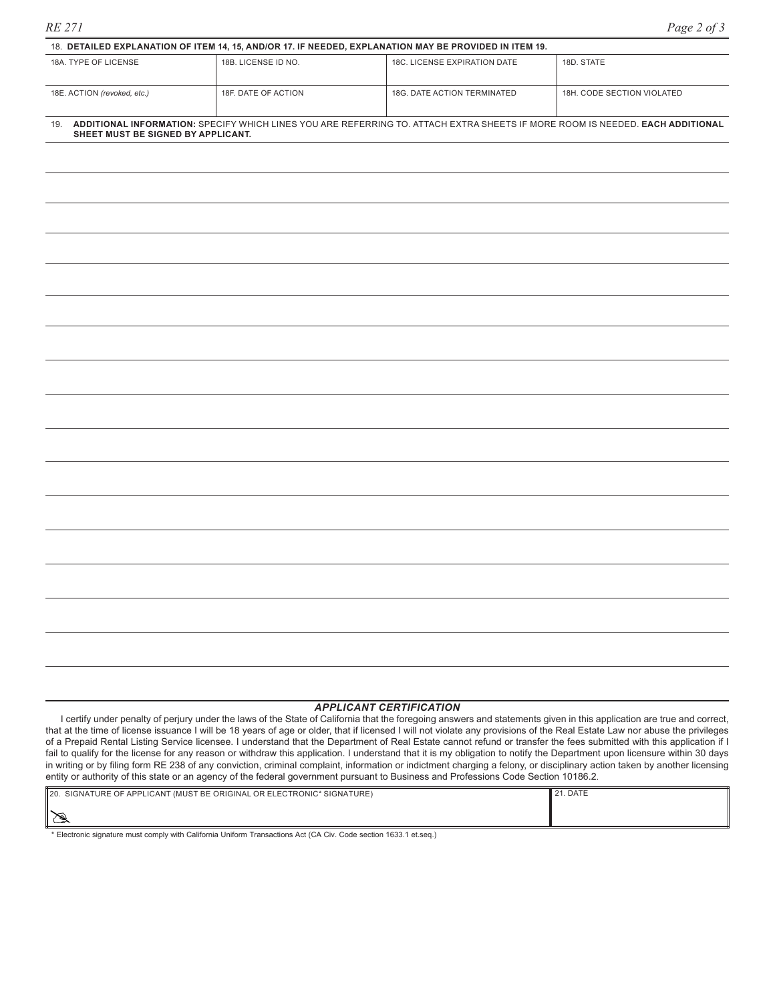| 18. DETAILED EXPLANATION OF ITEM 14, 15, AND/OR 17. IF NEEDED, EXPLANATION MAY BE PROVIDED IN ITEM 19.                                                                     |                     |                              |                            |  |  |  |  |  |  |
|----------------------------------------------------------------------------------------------------------------------------------------------------------------------------|---------------------|------------------------------|----------------------------|--|--|--|--|--|--|
| 18A. TYPE OF LICENSE                                                                                                                                                       | 18B. LICENSE ID NO. | 18C. LICENSE EXPIRATION DATE | 18D. STATE                 |  |  |  |  |  |  |
| 18E. ACTION (revoked, etc.)                                                                                                                                                | 18F, DATE OF ACTION | 18G. DATE ACTION TERMINATED  | 18H, CODE SECTION VIOLATED |  |  |  |  |  |  |
| ADDITIONAL INFORMATION: SPECIFY WHICH LINES YOU ARE REFERRING TO. ATTACH EXTRA SHEETS IF MORE ROOM IS NEEDED. EACH ADDITIONAL<br>19.<br>SHEET MUST BE SIGNED BY APPLICANT. |                     |                              |                            |  |  |  |  |  |  |
|                                                                                                                                                                            |                     |                              |                            |  |  |  |  |  |  |
|                                                                                                                                                                            |                     |                              |                            |  |  |  |  |  |  |

#### *APPLICANT CERTIFICATION*

I certify under penalty of perjury under the laws of the State of California that the foregoing answers and statements given in this application are true and correct, that at the time of license issuance I will be 18 years of age or older, that if licensed I will not violate any provisions of the Real Estate Law nor abuse the privileges of a Prepaid Rental Listing Service licensee. I understand that the Department of Real Estate cannot refund or transfer the fees submitted with this application if I fail to qualify for the license for any reason or withdraw this application. I understand that it is my obligation to notify the Department upon licensure within 30 days in writing or by filing form RE 238 of any conviction, criminal complaint, information or indictment charging a felony, or disciplinary action taken by another licensing entity or authority of this state or an agency of the federal government pursuant to Business and Professions Code Section 10186.2.

| 20. SIGNATURE OF APPLICANT (MUST BE ORIGINAL OR ELECTRONIC* SIGNATURE) | 121. DATE |
|------------------------------------------------------------------------|-----------|
| ╹╳╕                                                                    |           |

\* Electronic signature must comply with California Uniform Transactions Act (CA Civ. Code section 1633.1 et.seq.)